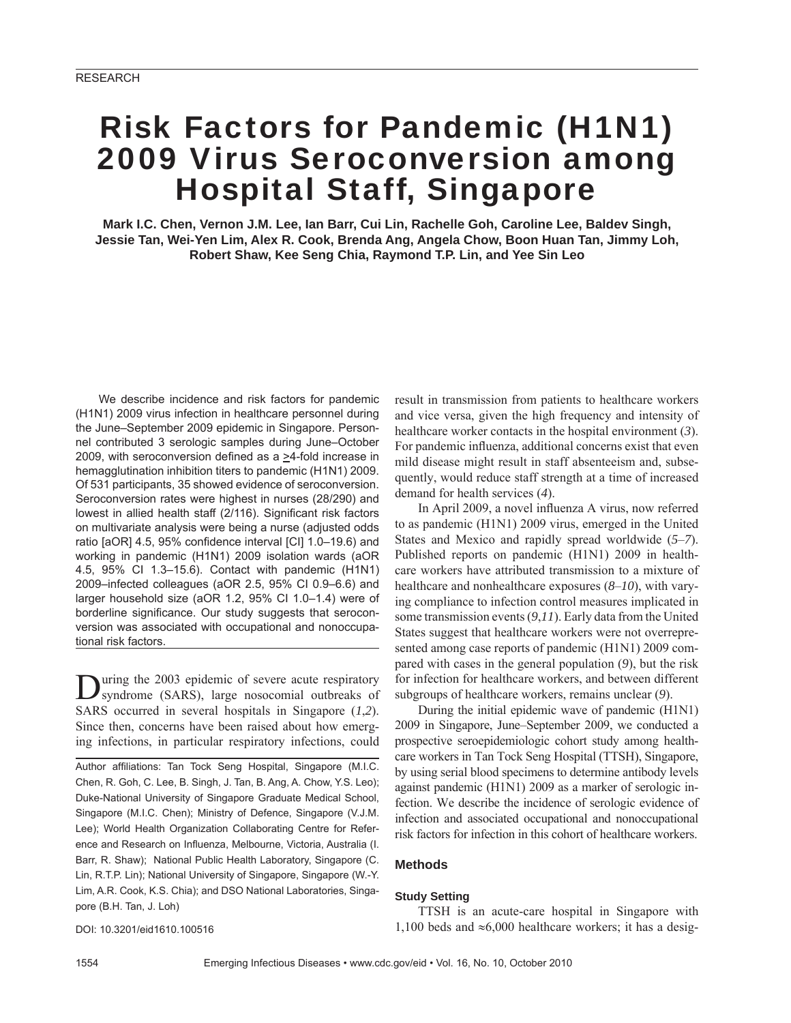# Risk Factors for Pandemic (H1N1) 2009 Virus Seroconversion among Hospital Staff, Singapore

**Mark I.C. Chen, Vernon J.M. Lee, Ian Barr, Cui Lin, Rachelle Goh, Caroline Lee, Baldev Singh, Jessie Tan, Wei-Yen Lim, Alex R. Cook, Brenda Ang, Angela Chow, Boon Huan Tan, Jimmy Loh, Robert Shaw, Kee Seng Chia, Raymond T.P. Lin, and Yee Sin Leo**

We describe incidence and risk factors for pandemic (H1N1) 2009 virus infection in healthcare personnel during the June–September 2009 epidemic in Singapore. Personnel contributed 3 serologic samples during June–October 2009, with seroconversion defined as a >4-fold increase in hemagglutination inhibition titers to pandemic (H1N1) 2009. Of 531 participants, 35 showed evidence of seroconversion. Seroconversion rates were highest in nurses (28/290) and lowest in allied health staff (2/116). Significant risk factors on multivariate analysis were being a nurse (adjusted odds ratio [aOR] 4.5, 95% confidence interval [CI] 1.0–19.6) and working in pandemic (H1N1) 2009 isolation wards (aOR 4.5, 95% CI 1.3–15.6). Contact with pandemic (H1N1) 2009–infected colleagues (aOR 2.5, 95% CI 0.9–6.6) and larger household size (aOR 1.2, 95% CI 1.0–1.4) were of borderline significance. Our study suggests that seroconversion was associated with occupational and nonoccupational risk factors.

During the 2003 epidemic of severe acute respiratory syndrome (SARS), large nosocomial outbreaks of SARS occurred in several hospitals in Singapore (*1*,*2*). Since then, concerns have been raised about how emerging infections, in particular respiratory infections, could

Author affiliations: Tan Tock Seng Hospital, Singapore (M.I.C. Chen, R. Goh, C. Lee, B. Singh, J. Tan, B. Ang, A. Chow, Y.S. Leo); Duke-National University of Singapore Graduate Medical School, Singapore (M.I.C. Chen); Ministry of Defence, Singapore (V.J.M. Lee); World Health Organization Collaborating Centre for Reference and Research on Influenza, Melbourne, Victoria, Australia (I. Barr, R. Shaw); National Public Health Laboratory, Singapore (C. Lin, R.T.P. Lin); National University of Singapore, Singapore (W.-Y. Lim, A.R. Cook, K.S. Chia); and DSO National Laboratories, Singapore (B.H. Tan, J. Loh)

DOI: 10.3201/eid1610.100516

result in transmission from patients to healthcare workers and vice versa, given the high frequency and intensity of healthcare worker contacts in the hospital environment (*3*). For pandemic influenza, additional concerns exist that even mild disease might result in staff absenteeism and, subsequently, would reduce staff strength at a time of increased demand for health services (*4*).

In April 2009, a novel influenza A virus, now referred to as pandemic (H1N1) 2009 virus, emerged in the United States and Mexico and rapidly spread worldwide (*5*–*7*). Published reports on pandemic (H1N1) 2009 in healthcare workers have attributed transmission to a mixture of healthcare and nonhealthcare exposures (*8*–*10*), with varying compliance to infection control measures implicated in some transmission events (*9*,*11*). Early data from the United States suggest that healthcare workers were not overrepresented among case reports of pandemic (H1N1) 2009 compared with cases in the general population (*9*), but the risk for infection for healthcare workers, and between different subgroups of healthcare workers, remains unclear (*9*).

During the initial epidemic wave of pandemic (H1N1) 2009 in Singapore, June–September 2009, we conducted a prospective seroepidemiologic cohort study among healthcare workers in Tan Tock Seng Hospital (TTSH), Singapore, by using serial blood specimens to determine antibody levels against pandemic (H1N1) 2009 as a marker of serologic infection. We describe the incidence of serologic evidence of infection and associated occupational and nonoccupational risk factors for infection in this cohort of healthcare workers.

#### **Methods**

#### **Study Setting**

TTSH is an acute-care hospital in Singapore with 1,100 beds and  $\approx 6,000$  healthcare workers; it has a desig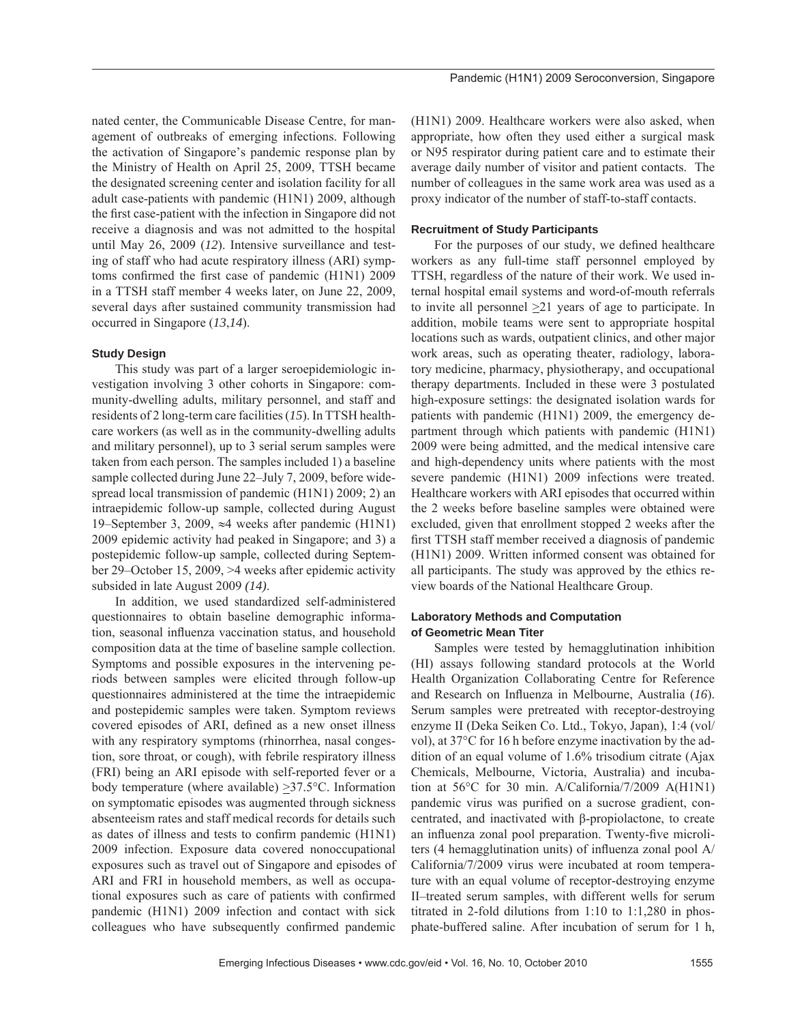agement of outbreaks of emerging infections. Following the activation of Singapore's pandemic response plan by the Ministry of Health on April 25, 2009, TTSH became the designated screening center and isolation facility for all adult case-patients with pandemic (H1N1) 2009, although the first case-patient with the infection in Singapore did not receive a diagnosis and was not admitted to the hospital until May 26, 2009 (*12*). Intensive surveillance and testing of staff who had acute respiratory illness (ARI) symptoms confirmed the first case of pandemic  $(H1N1)$  2009 in a TTSH staff member 4 weeks later, on June 22, 2009, several days after sustained community transmission had occurred in Singapore (*13*,*14*).

# **Study Design**

This study was part of a larger seroepidemiologic investigation involving 3 other cohorts in Singapore: community-dwelling adults, military personnel, and staff and residents of 2 long-term care facilities (*15*). In TTSH healthcare workers (as well as in the community-dwelling adults and military personnel), up to 3 serial serum samples were taken from each person. The samples included 1) a baseline sample collected during June 22–July 7, 2009, before widespread local transmission of pandemic (H1N1) 2009; 2) an intraepidemic follow-up sample, collected during August 19–September 3, 2009, ≈4 weeks after pandemic (H1N1) 2009 epidemic activity had peaked in Singapore; and 3) a postepidemic follow-up sample, collected during September 29–October 15, 2009, >4 weeks after epidemic activity subsided in late August 2009 *(14)*.

In addition, we used standardized self-administered questionnaires to obtain baseline demographic information, seasonal influenza vaccination status, and household composition data at the time of baseline sample collection. Symptoms and possible exposures in the intervening periods between samples were elicited through follow-up questionnaires administered at the time the intraepidemic and postepidemic samples were taken. Symptom reviews covered episodes of ARI, defined as a new onset illness with any respiratory symptoms (rhinorrhea, nasal congestion, sore throat, or cough), with febrile respiratory illness (FRI) being an ARI episode with self-reported fever or a body temperature (where available) >37.5°C. Information on symptomatic episodes was augmented through sickness absenteeism rates and staff medical records for details such as dates of illness and tests to confirm pandemic (H1N1) 2009 infection. Exposure data covered nonoccupational exposures such as travel out of Singapore and episodes of ARI and FRI in household members, as well as occupational exposures such as care of patients with confirmed pandemic (H1N1) 2009 infection and contact with sick colleagues who have subsequently confirmed pandemic

(H1N1) 2009. Healthcare workers were also asked, when appropriate, how often they used either a surgical mask or N95 respirator during patient care and to estimate their average daily number of visitor and patient contacts. The number of colleagues in the same work area was used as a proxy indicator of the number of staff-to-staff contacts.

Pandemic (H1N1) 2009 Seroconversion, Singapore

# **Recruitment of Study Participants**

For the purposes of our study, we defined healthcare workers as any full-time staff personnel employed by TTSH, regardless of the nature of their work. We used internal hospital email systems and word-of-mouth referrals to invite all personnel >21 years of age to participate. In addition, mobile teams were sent to appropriate hospital locations such as wards, outpatient clinics, and other major work areas, such as operating theater, radiology, laboratory medicine, pharmacy, physiotherapy, and occupational therapy departments. Included in these were 3 postulated high-exposure settings: the designated isolation wards for patients with pandemic (H1N1) 2009, the emergency department through which patients with pandemic (H1N1) 2009 were being admitted, and the medical intensive care and high-dependency units where patients with the most severe pandemic (H1N1) 2009 infections were treated. Healthcare workers with ARI episodes that occurred within the 2 weeks before baseline samples were obtained were excluded, given that enrollment stopped 2 weeks after the first TTSH staff member received a diagnosis of pandemic (H1N1) 2009. Written informed consent was obtained for all participants. The study was approved by the ethics review boards of the National Healthcare Group.

# **Laboratory Methods and Computation of Geometric Mean Titer**

Samples were tested by hemagglutination inhibition (HI) assays following standard protocols at the World Health Organization Collaborating Centre for Reference and Research on Influenza in Melbourne, Australia (16). Serum samples were pretreated with receptor-destroying enzyme II (Deka Seiken Co. Ltd., Tokyo, Japan), 1:4 (vol/ vol), at 37°C for 16 h before enzyme inactivation by the addition of an equal volume of 1.6% trisodium citrate (Ajax Chemicals, Melbourne, Victoria, Australia) and incubation at 56°C for 30 min. A/California/7/2009 A(H1N1) pandemic virus was purified on a sucrose gradient, concentrated, and inactivated with β-propiolactone, to create an influenza zonal pool preparation. Twenty-five microliters (4 hemagglutination units) of influenza zonal pool  $A/$ California/7/2009 virus were incubated at room temperature with an equal volume of receptor-destroying enzyme II–treated serum samples, with different wells for serum titrated in 2-fold dilutions from 1:10 to 1:1,280 in phosphate-buffered saline. After incubation of serum for 1 h,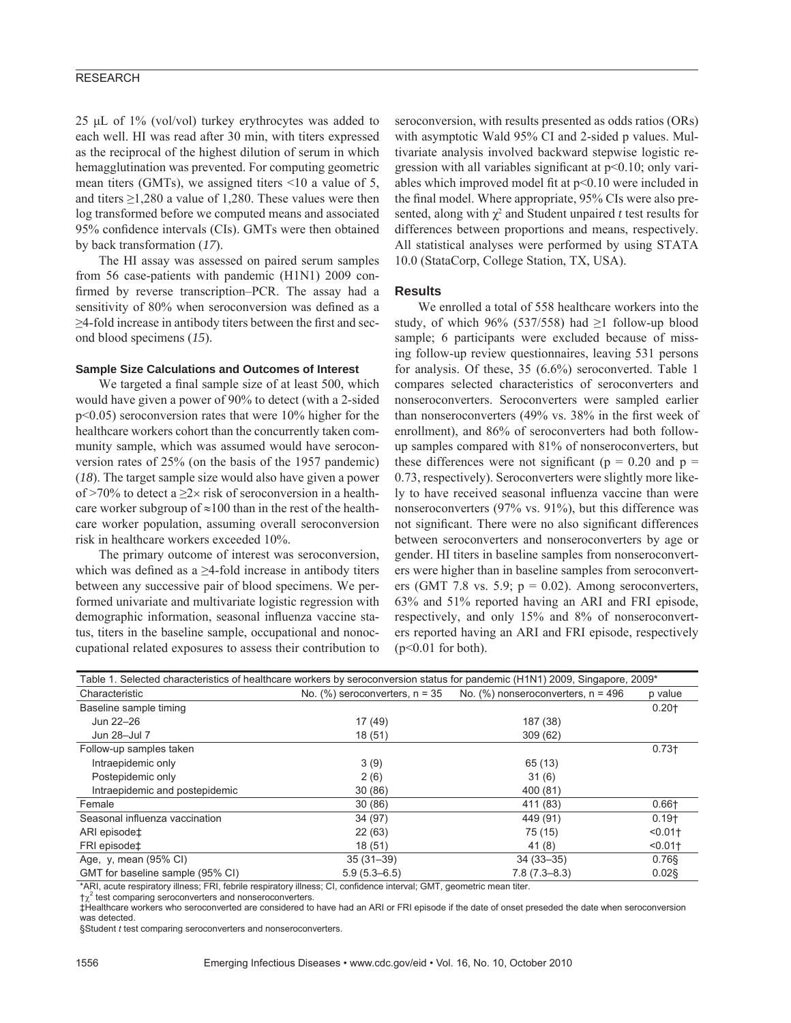# RESEARCH

25 μL of 1% (vol/vol) turkey erythrocytes was added to each well. HI was read after 30 min, with titers expressed as the reciprocal of the highest dilution of serum in which hemagglutination was prevented. For computing geometric mean titers (GMTs), we assigned titers <10 a value of 5, and titers  $\geq$ 1,280 a value of 1,280. These values were then log transformed before we computed means and associated 95% confidence intervals (CIs). GMTs were then obtained by back transformation (*17*).

The HI assay was assessed on paired serum samples from 56 case-patients with pandemic (H1N1) 2009 confirmed by reverse transcription–PCR. The assay had a sensitivity of 80% when seroconversion was defined as a  $\geq$ 4-fold increase in antibody titers between the first and second blood specimens (*15*).

#### **Sample Size Calculations and Outcomes of Interest**

We targeted a final sample size of at least 500, which would have given a power of 90% to detect (with a 2-sided p<0.05) seroconversion rates that were 10% higher for the healthcare workers cohort than the concurrently taken community sample, which was assumed would have seroconversion rates of 25% (on the basis of the 1957 pandemic) (*18*). The target sample size would also have given a power of >70% to detect a  $\geq 2 \times$  risk of seroconversion in a healthcare worker subgroup of  $\approx$ 100 than in the rest of the healthcare worker population, assuming overall seroconversion risk in healthcare workers exceeded 10%.

The primary outcome of interest was seroconversion, which was defined as a  $\geq$ 4-fold increase in antibody titers between any successive pair of blood specimens. We performed univariate and multivariate logistic regression with demographic information, seasonal influenza vaccine status, titers in the baseline sample, occupational and nonoccupational related exposures to assess their contribution to seroconversion, with results presented as odds ratios (ORs) with asymptotic Wald 95% CI and 2-sided p values. Multivariate analysis involved backward stepwise logistic regression with all variables significant at  $p<0.10$ ; only variables which improved model fit at  $p<0.10$  were included in the final model. Where appropriate, 95% CIs were also presented, along with  $\chi^2$  and Student unpaired *t* test results for differences between proportions and means, respectively. All statistical analyses were performed by using STATA 10.0 (StataCorp, College Station, TX, USA).

#### **Results**

We enrolled a total of 558 healthcare workers into the study, of which 96% (537/558) had  $\geq 1$  follow-up blood sample; 6 participants were excluded because of missing follow-up review questionnaires, leaving 531 persons for analysis. Of these, 35 (6.6%) seroconverted. Table 1 compares selected characteristics of seroconverters and nonseroconverters. Seroconverters were sampled earlier than nonseroconverters  $(49\%$  vs.  $38\%$  in the first week of enrollment), and 86% of seroconverters had both followup samples compared with 81% of nonseroconverters, but these differences were not significant ( $p = 0.20$  and  $p =$ 0.73, respectively). Seroconverters were slightly more likely to have received seasonal influenza vaccine than were nonseroconverters (97% vs. 91%), but this difference was not significant. There were no also significant differences between seroconverters and nonseroconverters by age or gender. HI titers in baseline samples from nonseroconverters were higher than in baseline samples from seroconverters (GMT 7.8 vs. 5.9;  $p = 0.02$ ). Among seroconverters, 63% and 51% reported having an ARI and FRI episode, respectively, and only 15% and 8% of nonseroconverters reported having an ARI and FRI episode, respectively  $(p<0.01$  for both).

| Table 1. Selected characteristics of healthcare workers by seroconversion status for pandemic (H1N1) 2009, Singapore, 2009* |                                     |                                         |          |  |
|-----------------------------------------------------------------------------------------------------------------------------|-------------------------------------|-----------------------------------------|----------|--|
| Characteristic                                                                                                              | No. $(\%)$ seroconverters, $n = 35$ | No. $(\%)$ nonseroconverters, $n = 496$ | p value  |  |
| Baseline sample timing                                                                                                      |                                     |                                         | $0.20+$  |  |
| Jun 22-26                                                                                                                   | 17 (49)                             | 187 (38)                                |          |  |
| Jun 28-Jul 7                                                                                                                | 18(51)                              | 309(62)                                 |          |  |
| Follow-up samples taken                                                                                                     |                                     |                                         | $0.73 +$ |  |
| Intraepidemic only                                                                                                          | 3(9)                                | 65 (13)                                 |          |  |
| Postepidemic only                                                                                                           | 2(6)                                | 31(6)                                   |          |  |
| Intraepidemic and postepidemic                                                                                              | 30(86)                              | 400 (81)                                |          |  |
| Female                                                                                                                      | 30(86)                              | 411 (83)                                | $0.66 +$ |  |
| Seasonal influenza vaccination                                                                                              | 34 (97)                             | 449 (91)                                | $0.19+$  |  |
| ARI episode‡                                                                                                                | 22(63)                              | 75 (15)                                 | < 0.01   |  |
| FRI episode‡                                                                                                                | 18(51)                              | 41 (8)                                  | < 0.01   |  |
| Age, y, mean (95% CI)                                                                                                       | $35(31-39)$                         | $34(33 - 35)$                           | $0.76$ § |  |
| GMT for baseline sample (95% CI)                                                                                            | $5.9(5.3 - 6.5)$                    | $7.8(7.3 - 8.3)$                        | $0.02$ § |  |

\*ARI, acute respiratory illness; FRI, febrile respiratory illness; CI, confidence interval; GMT, geometric mean titer.

 $\tau \chi^2$  test comparing seroconverters and nonseroconverters.

‡Healthcare workers who seroconverted are considered to have had an ARI or FRI episode if the date of onset preseded the date when seroconversion was detected.

§Student *t* test comparing seroconverters and nonseroconverters.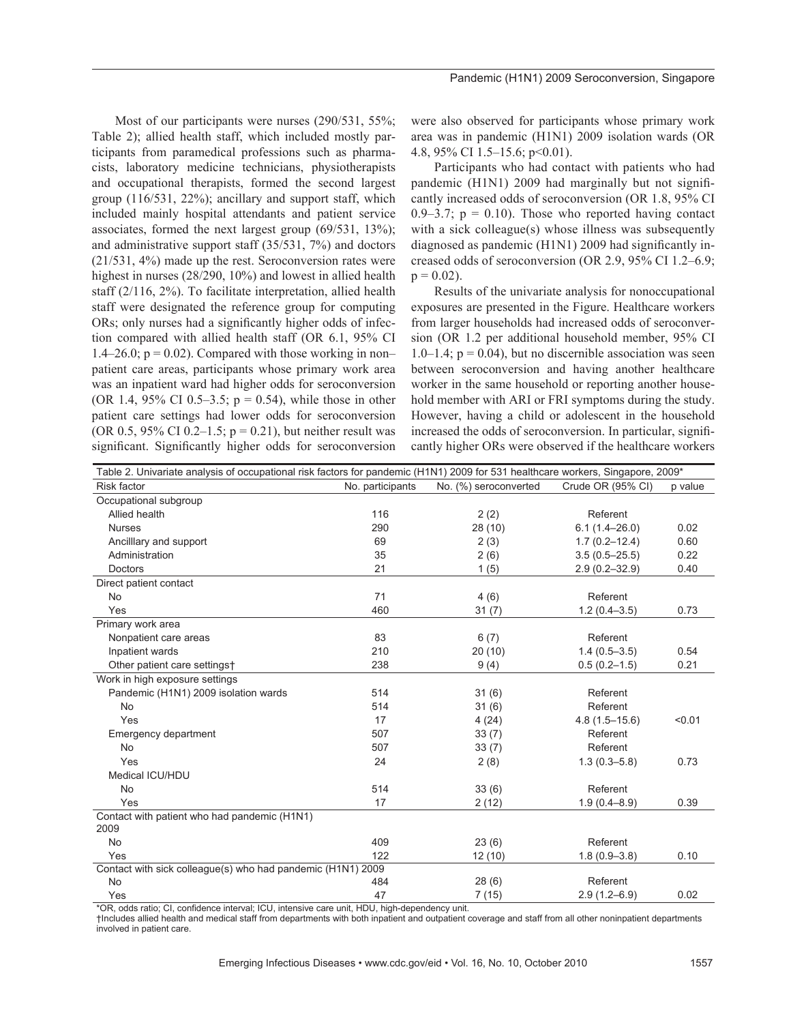Most of our participants were nurses (290/531, 55%; Table 2); allied health staff, which included mostly participants from paramedical professions such as pharmacists, laboratory medicine technicians, physiotherapists and occupational therapists, formed the second largest group (116/531, 22%); ancillary and support staff, which included mainly hospital attendants and patient service associates, formed the next largest group (69/531, 13%); and administrative support staff (35/531, 7%) and doctors (21/531, 4%) made up the rest. Seroconversion rates were highest in nurses (28/290, 10%) and lowest in allied health staff (2/116, 2%). To facilitate interpretation, allied health staff were designated the reference group for computing ORs; only nurses had a significantly higher odds of infection compared with allied health staff (OR 6.1, 95% CI 1.4–26.0;  $p = 0.02$ ). Compared with those working in non– patient care areas, participants whose primary work area was an inpatient ward had higher odds for seroconversion (OR 1.4, 95% CI 0.5–3.5;  $p = 0.54$ ), while those in other patient care settings had lower odds for seroconversion (OR 0.5, 95% CI 0.2–1.5;  $p = 0.21$ ), but neither result was significant. Significantly higher odds for seroconversion

were also observed for participants whose primary work area was in pandemic (H1N1) 2009 isolation wards (OR 4.8, 95% CI 1.5–15.6; p<0.01).

Participants who had contact with patients who had pandemic (H1N1) 2009 had marginally but not significantly increased odds of seroconversion (OR 1.8, 95% CI 0.9–3.7;  $p = 0.10$ ). Those who reported having contact with a sick colleague(s) whose illness was subsequently diagnosed as pandemic  $(H1N1)$  2009 had significantly increased odds of seroconversion (OR 2.9, 95% CI 1.2–6.9;  $p = 0.02$ ).

Results of the univariate analysis for nonoccupational exposures are presented in the Figure. Healthcare workers from larger households had increased odds of seroconversion (OR 1.2 per additional household member, 95% CI 1.0–1.4;  $p = 0.04$ ), but no discernible association was seen between seroconversion and having another healthcare worker in the same household or reporting another household member with ARI or FRI symptoms during the study. However, having a child or adolescent in the household increased the odds of seroconversion. In particular, significantly higher ORs were observed if the healthcare workers

| Table 2. Univariate analysis of occupational risk factors for pandemic (H1N1) 2009 for 531 healthcare workers, Singapore, 2009* |                  |                       |                   |         |  |
|---------------------------------------------------------------------------------------------------------------------------------|------------------|-----------------------|-------------------|---------|--|
| <b>Risk factor</b>                                                                                                              | No. participants | No. (%) seroconverted | Crude OR (95% CI) | p value |  |
| Occupational subgroup                                                                                                           |                  |                       |                   |         |  |
| Allied health                                                                                                                   | 116              | 2(2)                  | Referent          |         |  |
| <b>Nurses</b>                                                                                                                   | 290              | 28 (10)               | $6.1(1.4 - 26.0)$ | 0.02    |  |
| Ancilllary and support                                                                                                          | 69               | 2(3)                  | $1.7(0.2 - 12.4)$ | 0.60    |  |
| Administration                                                                                                                  | 35               | 2(6)                  | $3.5(0.5 - 25.5)$ | 0.22    |  |
| <b>Doctors</b>                                                                                                                  | 21               | 1(5)                  | $2.9(0.2 - 32.9)$ | 0.40    |  |
| Direct patient contact                                                                                                          |                  |                       |                   |         |  |
| <b>No</b>                                                                                                                       | 71               | 4(6)                  | Referent          |         |  |
| Yes                                                                                                                             | 460              | 31(7)                 | $1.2(0.4 - 3.5)$  | 0.73    |  |
| Primary work area                                                                                                               |                  |                       |                   |         |  |
| Nonpatient care areas                                                                                                           | 83               | 6(7)                  | Referent          |         |  |
| Inpatient wards                                                                                                                 | 210              | 20(10)                | $1.4(0.5 - 3.5)$  | 0.54    |  |
| Other patient care settings†                                                                                                    | 238              | 9(4)                  | $0.5(0.2 - 1.5)$  | 0.21    |  |
| Work in high exposure settings                                                                                                  |                  |                       |                   |         |  |
| Pandemic (H1N1) 2009 isolation wards                                                                                            | 514              | 31(6)                 | Referent          |         |  |
| <b>No</b>                                                                                                                       | 514              | 31(6)                 | Referent          |         |  |
| Yes                                                                                                                             | 17               | 4(24)                 | $4.8(1.5 - 15.6)$ | < 0.01  |  |
| Emergency department                                                                                                            | 507              | 33(7)                 | Referent          |         |  |
| <b>No</b>                                                                                                                       | 507              | 33(7)                 | Referent          |         |  |
| Yes                                                                                                                             | 24               | 2(8)                  | $1.3(0.3 - 5.8)$  | 0.73    |  |
| Medical ICU/HDU                                                                                                                 |                  |                       |                   |         |  |
| <b>No</b>                                                                                                                       | 514              | 33(6)                 | Referent          |         |  |
| Yes                                                                                                                             | 17               | 2(12)                 | $1.9(0.4 - 8.9)$  | 0.39    |  |
| Contact with patient who had pandemic (H1N1)<br>2009                                                                            |                  |                       |                   |         |  |
| <b>No</b>                                                                                                                       | 409              | 23(6)                 | Referent          |         |  |
| Yes                                                                                                                             | 122              | 12(10)                | $1.8(0.9 - 3.8)$  | 0.10    |  |
| Contact with sick colleague(s) who had pandemic (H1N1) 2009                                                                     |                  |                       |                   |         |  |
| No                                                                                                                              | 484              | 28(6)                 | Referent          |         |  |
| Yes                                                                                                                             | 47               | 7(15)                 | $2.9(1.2 - 6.9)$  | 0.02    |  |

\*OR, odds ratio; CI, confidence interval; ICU, intensive care unit, HDU, high-dependency unit.

†Includes allied health and medical staff from departments with both inpatient and outpatient coverage and staff from all other noninpatient departments involved in patient care.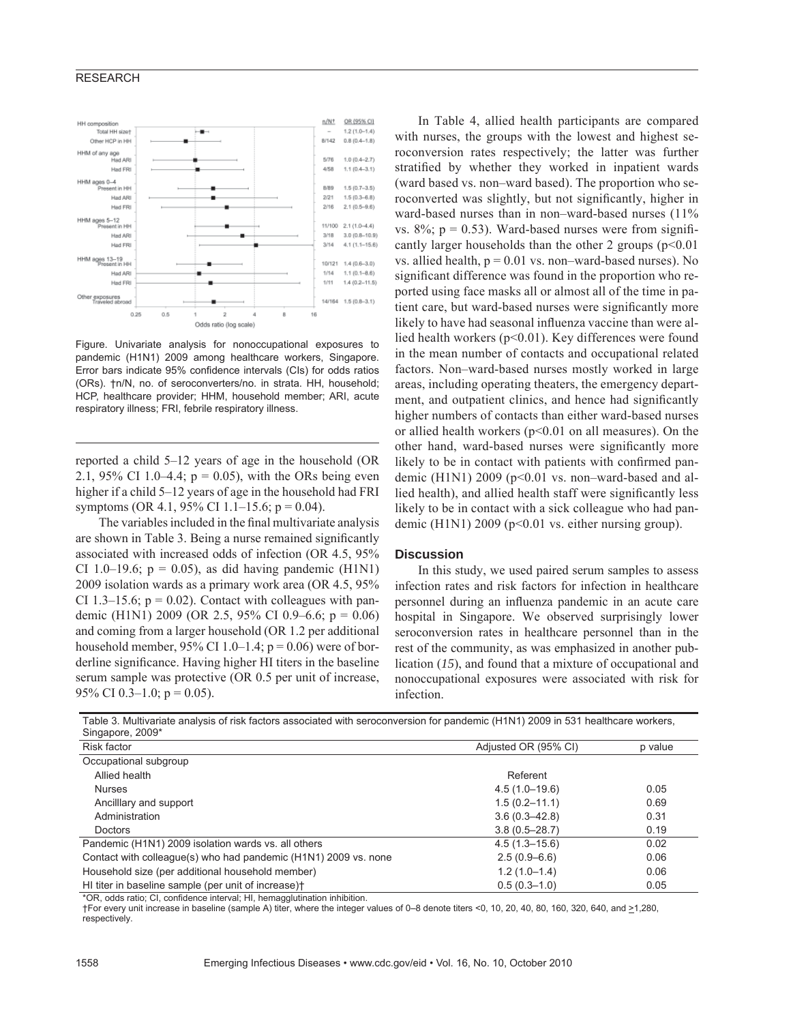### RESEARCH



Figure. Univariate analysis for nonoccupational exposures to pandemic (H1N1) 2009 among healthcare workers, Singapore. Error bars indicate 95% confidence intervals (CIs) for odds ratios (ORs). †n/N, no. of seroconverters/no. in strata. HH, household; HCP, healthcare provider; HHM, household member; ARI, acute respiratory illness; FRI, febrile respiratory illness.

reported a child 5–12 years of age in the household (OR 2.1, 95% CI 1.0–4.4;  $p = 0.05$ ), with the ORs being even higher if a child 5–12 years of age in the household had FRI symptoms (OR 4.1, 95% CI 1.1–15.6;  $p = 0.04$ ).

The variables included in the final multivariate analysis are shown in Table 3. Being a nurse remained significantly associated with increased odds of infection (OR 4.5, 95% CI 1.0–19.6;  $p = 0.05$ ), as did having pandemic (H1N1) 2009 isolation wards as a primary work area (OR 4.5, 95% CI 1.3–15.6;  $p = 0.02$ ). Contact with colleagues with pandemic (H1N1) 2009 (OR 2.5, 95% CI 0.9–6.6;  $p = 0.06$ ) and coming from a larger household (OR 1.2 per additional household member,  $95\%$  CI 1.0–1.4;  $p = 0.06$ ) were of borderline significance. Having higher HI titers in the baseline serum sample was protective (OR 0.5 per unit of increase, 95% CI 0.3-1.0;  $p = 0.05$ ).

In Table 4, allied health participants are compared with nurses, the groups with the lowest and highest seroconversion rates respectively; the latter was further stratified by whether they worked in inpatient wards (ward based vs. non–ward based). The proportion who seroconverted was slightly, but not significantly, higher in ward-based nurses than in non–ward-based nurses (11% vs.  $8\%$ ;  $p = 0.53$ ). Ward-based nurses were from significantly larger households than the other 2 groups  $(p<0.01$ vs. allied health,  $p = 0.01$  vs. non–ward-based nurses). No significant difference was found in the proportion who reported using face masks all or almost all of the time in patient care, but ward-based nurses were significantly more likely to have had seasonal influenza vaccine than were allied health workers  $(p<0.01)$ . Key differences were found in the mean number of contacts and occupational related factors. Non–ward-based nurses mostly worked in large areas, including operating theaters, the emergency department, and outpatient clinics, and hence had significantly higher numbers of contacts than either ward-based nurses or allied health workers ( $p<0.01$  on all measures). On the other hand, ward-based nurses were significantly more likely to be in contact with patients with confirmed pandemic (H1N1) 2009 ( $p<0.01$  vs. non–ward-based and allied health), and allied health staff were significantly less likely to be in contact with a sick colleague who had pandemic (H1N1) 2009 (p<0.01 vs. either nursing group).

#### **Discussion**

In this study, we used paired serum samples to assess infection rates and risk factors for infection in healthcare personnel during an influenza pandemic in an acute care hospital in Singapore. We observed surprisingly lower seroconversion rates in healthcare personnel than in the rest of the community, as was emphasized in another publication (*15*), and found that a mixture of occupational and nonoccupational exposures were associated with risk for infection.

| Singapore, 2009*                                                |                      |         |
|-----------------------------------------------------------------|----------------------|---------|
| <b>Risk factor</b>                                              | Adjusted OR (95% CI) | p value |
| Occupational subgroup                                           |                      |         |
| Allied health                                                   | Referent             |         |
| <b>Nurses</b>                                                   | $4.5(1.0-19.6)$      | 0.05    |
| Ancillary and support                                           | $1.5(0.2 - 11.1)$    | 0.69    |
| Administration                                                  | $3.6(0.3 - 42.8)$    | 0.31    |
| <b>Doctors</b>                                                  | $3.8(0.5 - 28.7)$    | 0.19    |
| Pandemic (H1N1) 2009 isolation wards vs. all others             | $4.5(1.3 - 15.6)$    | 0.02    |
| Contact with colleague(s) who had pandemic (H1N1) 2009 vs. none | $2.5(0.9-6.6)$       | 0.06    |
| Household size (per additional household member)                | $1.2(1.0-1.4)$       | 0.06    |
| HI titer in baseline sample (per unit of increase) <sup>†</sup> | $0.5(0.3 - 1.0)$     | 0.05    |

Table 3. Multivariate analysis of risk factors associated with seroconversion for pandemic (H1N1) 2009 in 531 healthcare workers,

\*OR, odds ratio; CI, confidence interval; HI, hemagglutination inhibition.

†For every unit increase in baseline (sample A) titer, where the integer values of 0–8 denote titers <0, 10, 20, 40, 80, 160, 320, 640, and >1,280, respectively.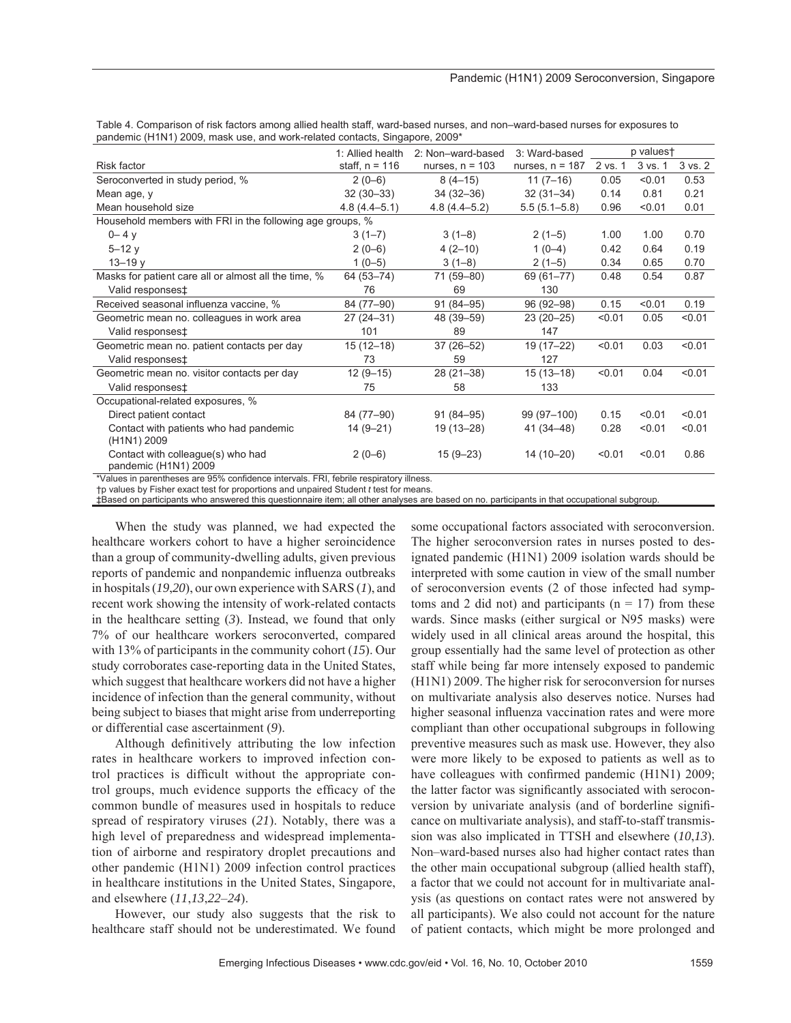|                                                           | 1: Allied health | 2: Non-ward-based | 3: Ward-based     |         | p valuest |             |
|-----------------------------------------------------------|------------------|-------------------|-------------------|---------|-----------|-------------|
| Risk factor                                               | staff, $n = 116$ | nurses, $n = 103$ | nurses, $n = 187$ | 2 vs. 1 | 3 vs. 1   | $3$ vs. $2$ |
| Seroconverted in study period, %                          | $2(0-6)$         | $8(4-15)$         | $11(7-16)$        | 0.05    | < 0.01    | 0.53        |
| Mean age, y                                               | $32(30-33)$      | $34(32-36)$       | $32(31-34)$       | 0.14    | 0.81      | 0.21        |
| Mean household size                                       | $4.8(4.4 - 5.1)$ | $4.8(4.4 - 5.2)$  | $5.5(5.1 - 5.8)$  | 0.96    | < 0.01    | 0.01        |
| Household members with FRI in the following age groups, % |                  |                   |                   |         |           |             |
| $0 - 4y$                                                  | $3(1-7)$         | $3(1-8)$          | $2(1-5)$          | 1.00    | 1.00      | 0.70        |
| $5 - 12y$                                                 | $2(0-6)$         | $4(2-10)$         | $1(0-4)$          | 0.42    | 0.64      | 0.19        |
| $13 - 19y$                                                | $1(0-5)$         | $3(1-8)$          | $2(1-5)$          | 0.34    | 0.65      | 0.70        |
| Masks for patient care all or almost all the time, %      | 64 (53-74)       | 71 (59-80)        | 69 (61-77)        | 0.48    | 0.54      | 0.87        |
| Valid responses‡                                          | 76               | 69                | 130               |         |           |             |
| Received seasonal influenza vaccine, %                    | 84 (77-90)       | $91(84 - 95)$     | 96 (92-98)        | 0.15    | < 0.01    | 0.19        |
| Geometric mean no. colleagues in work area                | $27(24-31)$      | 48 (39-59)        | $23(20-25)$       | < 0.01  | 0.05      | < 0.01      |
| Valid responses <sup>‡</sup>                              | 101              | 89                | 147               |         |           |             |
| Geometric mean no. patient contacts per day               | $15(12-18)$      | $37(26 - 52)$     | 19 (17-22)        | < 0.01  | 0.03      | < 0.01      |
| Valid responses <sup>±</sup>                              | 73               | 59                | 127               |         |           |             |
| Geometric mean no. visitor contacts per day               | $12(9-15)$       | $28(21-38)$       | $15(13 - 18)$     | < 0.01  | 0.04      | < 0.01      |
| Valid responses <sup>+</sup>                              | 75               | 58                | 133               |         |           |             |
| Occupational-related exposures, %                         |                  |                   |                   |         |           |             |
| Direct patient contact                                    | 84 (77-90)       | $91(84 - 95)$     | 99 (97-100)       | 0.15    | < 0.01    | < 0.01      |
| Contact with patients who had pandemic                    | $14(9-21)$       | 19 (13-28)        | 41 (34–48)        | 0.28    | < 0.01    | < 0.01      |
| (H1N1) 2009                                               |                  |                   |                   |         |           |             |
| Contact with colleague(s) who had                         | $2(0-6)$         | $15(9 - 23)$      | 14 (10-20)        | < 0.01  | < 0.01    | 0.86        |
| pandemic (H1N1) 2009                                      |                  |                   |                   |         |           |             |

Table 4. Comparison of risk factors among allied health staff, ward-based nurses, and non–ward-based nurses for exposures to pandemic (H1N1) 2009, mask use, and work-related contacts, Singapore, 2009\*

\*Values in parentheses are 95% confidence intervals. FRI, febrile respiratory illness.

†p values by Fisher exact test for proportions and unpaired Student *t* test for means.

‡Based on participants who answered this questionnaire item; all other analyses are based on no. participants in that occupational subgroup.

When the study was planned, we had expected the healthcare workers cohort to have a higher seroincidence than a group of community-dwelling adults, given previous reports of pandemic and nonpandemic influenza outbreaks in hospitals (*19*,*20*), our own experience with SARS (*1*), and recent work showing the intensity of work-related contacts in the healthcare setting (*3*). Instead, we found that only 7% of our healthcare workers seroconverted, compared with 13% of participants in the community cohort (*15*). Our study corroborates case-reporting data in the United States, which suggest that healthcare workers did not have a higher incidence of infection than the general community, without being subject to biases that might arise from underreporting or differential case ascertainment (*9*).

Although definitively attributing the low infection rates in healthcare workers to improved infection control practices is difficult without the appropriate control groups, much evidence supports the efficacy of the common bundle of measures used in hospitals to reduce spread of respiratory viruses (*21*). Notably, there was a high level of preparedness and widespread implementation of airborne and respiratory droplet precautions and other pandemic (H1N1) 2009 infection control practices in healthcare institutions in the United States, Singapore, and elsewhere (*11*,*13*,*22*–*24*).

However, our study also suggests that the risk to healthcare staff should not be underestimated. We found some occupational factors associated with seroconversion. The higher seroconversion rates in nurses posted to designated pandemic (H1N1) 2009 isolation wards should be interpreted with some caution in view of the small number of seroconversion events (2 of those infected had symptoms and 2 did not) and participants ( $n = 17$ ) from these wards. Since masks (either surgical or N95 masks) were widely used in all clinical areas around the hospital, this group essentially had the same level of protection as other staff while being far more intensely exposed to pandemic (H1N1) 2009. The higher risk for seroconversion for nurses on multivariate analysis also deserves notice. Nurses had higher seasonal influenza vaccination rates and were more compliant than other occupational subgroups in following preventive measures such as mask use. However, they also were more likely to be exposed to patients as well as to have colleagues with confirmed pandemic  $(H1N1)$  2009; the latter factor was significantly associated with seroconversion by univariate analysis (and of borderline significance on multivariate analysis), and staff-to-staff transmission was also implicated in TTSH and elsewhere (*10*,*13*). Non–ward-based nurses also had higher contact rates than the other main occupational subgroup (allied health staff), a factor that we could not account for in multivariate analysis (as questions on contact rates were not answered by all participants). We also could not account for the nature of patient contacts, which might be more prolonged and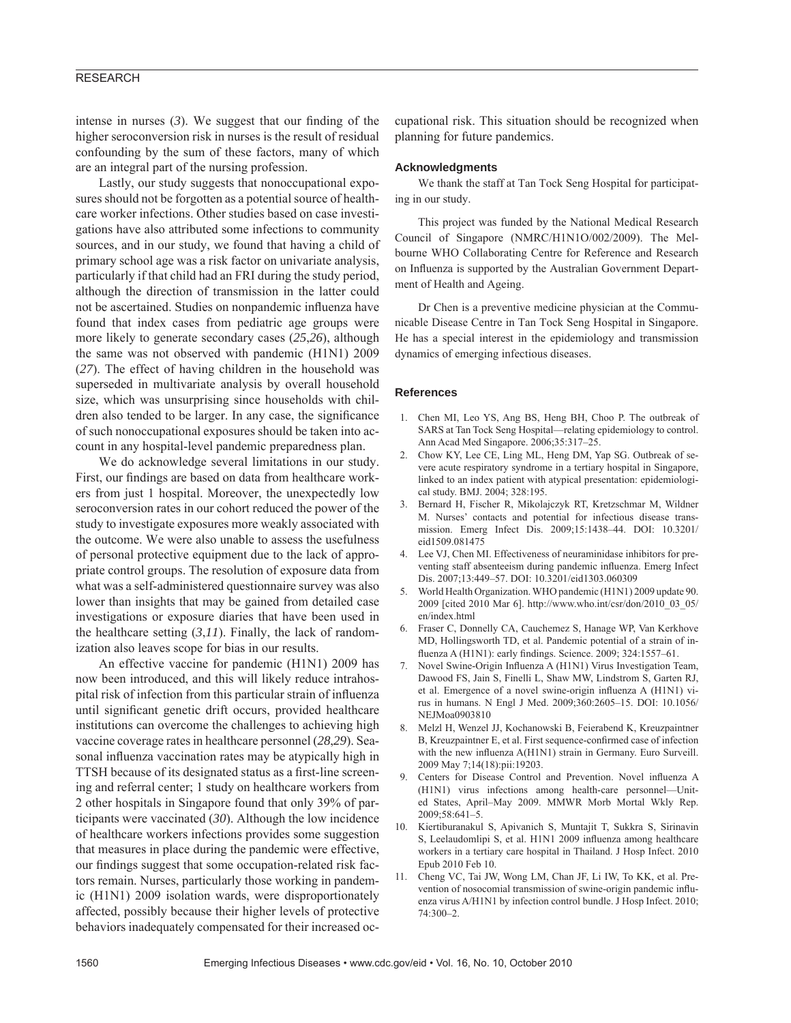# RESEARCH

intense in nurses  $(3)$ . We suggest that our finding of the higher seroconversion risk in nurses is the result of residual confounding by the sum of these factors, many of which are an integral part of the nursing profession.

Lastly, our study suggests that nonoccupational exposures should not be forgotten as a potential source of healthcare worker infections. Other studies based on case investigations have also attributed some infections to community sources, and in our study, we found that having a child of primary school age was a risk factor on univariate analysis, particularly if that child had an FRI during the study period, although the direction of transmission in the latter could not be ascertained. Studies on nonpandemic influenza have found that index cases from pediatric age groups were more likely to generate secondary cases (*25*,*26*), although the same was not observed with pandemic (H1N1) 2009 (*27*). The effect of having children in the household was superseded in multivariate analysis by overall household size, which was unsurprising since households with children also tended to be larger. In any case, the significance of such nonoccupational exposures should be taken into account in any hospital-level pandemic preparedness plan.

We do acknowledge several limitations in our study. First, our findings are based on data from healthcare workers from just 1 hospital. Moreover, the unexpectedly low seroconversion rates in our cohort reduced the power of the study to investigate exposures more weakly associated with the outcome. We were also unable to assess the usefulness of personal protective equipment due to the lack of appropriate control groups. The resolution of exposure data from what was a self-administered questionnaire survey was also lower than insights that may be gained from detailed case investigations or exposure diaries that have been used in the healthcare setting (*3*,*11*). Finally, the lack of randomization also leaves scope for bias in our results.

An effective vaccine for pandemic (H1N1) 2009 has now been introduced, and this will likely reduce intrahospital risk of infection from this particular strain of influenza until significant genetic drift occurs, provided healthcare institutions can overcome the challenges to achieving high vaccine coverage rates in healthcare personnel (*28*,*29*). Seasonal influenza vaccination rates may be atypically high in TTSH because of its designated status as a first-line screening and referral center; 1 study on healthcare workers from 2 other hospitals in Singapore found that only 39% of participants were vaccinated (*30*). Although the low incidence of healthcare workers infections provides some suggestion that measures in place during the pandemic were effective, our findings suggest that some occupation-related risk factors remain. Nurses, particularly those working in pandemic (H1N1) 2009 isolation wards, were disproportionately affected, possibly because their higher levels of protective behaviors inadequately compensated for their increased occupational risk. This situation should be recognized when planning for future pandemics.

#### **Acknowledgments**

We thank the staff at Tan Tock Seng Hospital for participating in our study.

This project was funded by the National Medical Research Council of Singapore (NMRC/H1N1O/002/2009). The Melbourne WHO Collaborating Centre for Reference and Research on Influenza is supported by the Australian Government Department of Health and Ageing.

Dr Chen is a preventive medicine physician at the Communicable Disease Centre in Tan Tock Seng Hospital in Singapore. He has a special interest in the epidemiology and transmission dynamics of emerging infectious diseases.

#### **References**

- 1. Chen MI, Leo YS, Ang BS, Heng BH, Choo P. The outbreak of SARS at Tan Tock Seng Hospital—relating epidemiology to control. Ann Acad Med Singapore. 2006;35:317–25.
- 2. Chow KY, Lee CE, Ling ML, Heng DM, Yap SG. Outbreak of severe acute respiratory syndrome in a tertiary hospital in Singapore, linked to an index patient with atypical presentation: epidemiological study. BMJ. 2004; 328:195.
- 3. Bernard H, Fischer R, Mikolajczyk RT, Kretzschmar M, Wildner M. Nurses' contacts and potential for infectious disease transmission. Emerg Infect Dis. 2009;15:1438–44. DOI: 10.3201/ eid1509.081475
- 4. Lee VJ, Chen MI. Effectiveness of neuraminidase inhibitors for preventing staff absenteeism during pandemic influenza. Emerg Infect Dis. 2007;13:449–57. DOI: 10.3201/eid1303.060309
- 5. World Health Organization. WHO pandemic (H1N1) 2009 update 90. 2009 [cited 2010 Mar 6]. http://www.who.int/csr/don/2010\_03\_05/ en/index.html
- 6. Fraser C, Donnelly CA, Cauchemez S, Hanage WP, Van Kerkhove MD, Hollingsworth TD, et al. Pandemic potential of a strain of influenza A (H1N1): early findings. Science. 2009; 324:1557-61.
- 7. Novel Swine-Origin Influenza A (H1N1) Virus Investigation Team, Dawood FS, Jain S, Finelli L, Shaw MW, Lindstrom S, Garten RJ, et al. Emergence of a novel swine-origin influenza A (H1N1) virus in humans. N Engl J Med. 2009;360:2605–15. DOI: 10.1056/ NEJMoa0903810
- 8. Melzl H, Wenzel JJ, Kochanowski B, Feierabend K, Kreuzpaintner B, Kreuzpaintner E, et al. First sequence-confirmed case of infection with the new influenza A(H1N1) strain in Germany. Euro Surveill. 2009 May 7;14(18):pii:19203.
- 9. Centers for Disease Control and Prevention. Novel influenza A (H1N1) virus infections among health-care personnel—United States, April–May 2009. MMWR Morb Mortal Wkly Rep. 2009;58:641–5.
- 10. Kiertiburanakul S, Apivanich S, Muntajit T, Sukkra S, Sirinavin S, Leelaudomlipi S, et al. H1N1 2009 influenza among healthcare workers in a tertiary care hospital in Thailand. J Hosp Infect. 2010 Epub 2010 Feb 10.
- 11. Cheng VC, Tai JW, Wong LM, Chan JF, Li IW, To KK, et al. Prevention of nosocomial transmission of swine-origin pandemic influenza virus A/H1N1 by infection control bundle. J Hosp Infect. 2010;  $74.300 - 2$